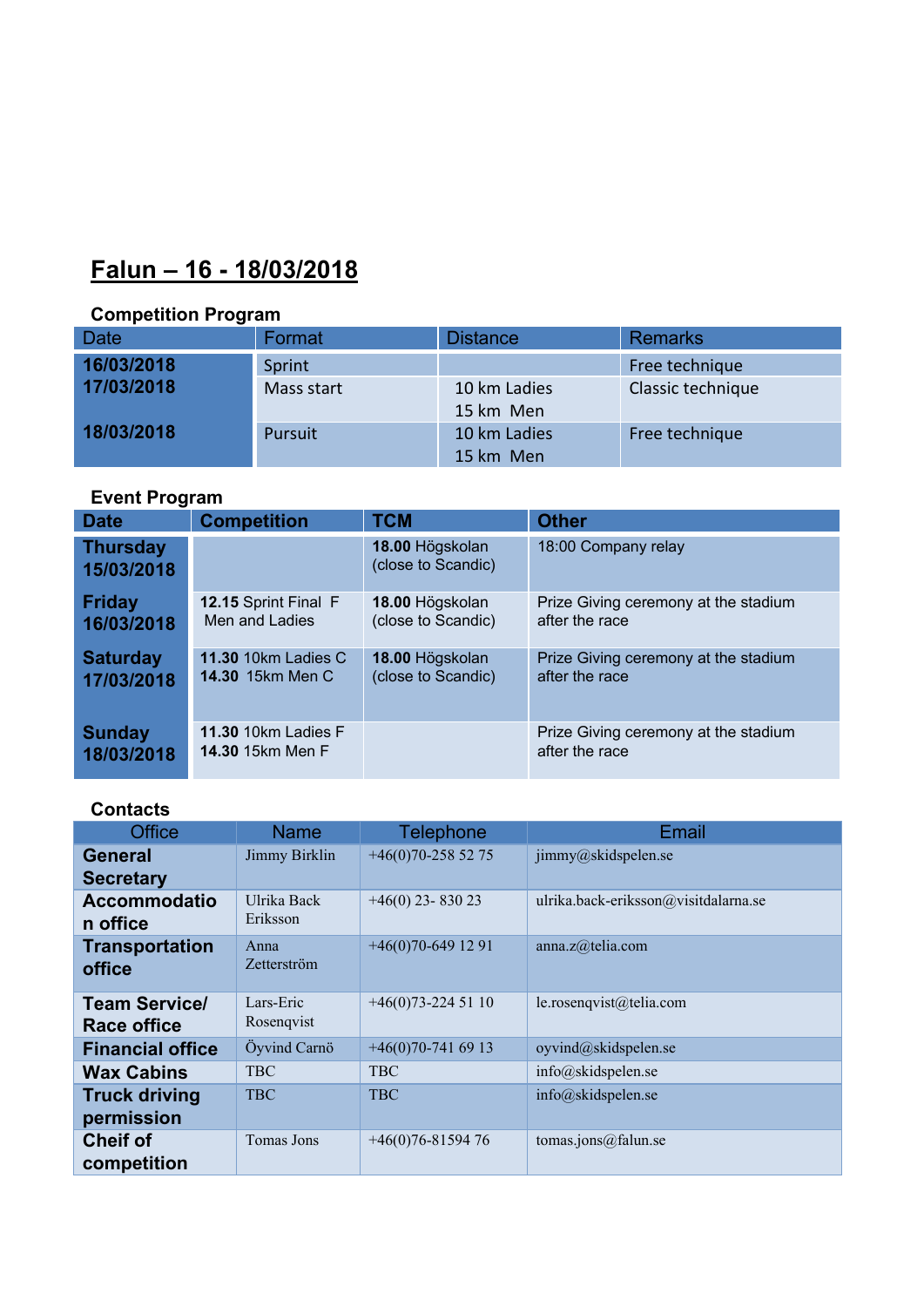# **Falun – 16 - 18/03/2018**

## **Competition Program**

| <b>Date</b>              | Format     | <b>Distance</b>           | <b>Remarks</b>    |
|--------------------------|------------|---------------------------|-------------------|
| 16/03/2018<br>17/03/2018 | Sprint     |                           | Free technique    |
|                          | Mass start | 10 km Ladies<br>15 km Men | Classic technique |
| 18/03/2018               | Pursuit    | 10 km Ladies<br>15 km Men | Free technique    |

# **Event Program**

| <b>Date</b>                   | <b>Competition</b>         | <b>TCM</b>                            | <b>Other</b>                         |
|-------------------------------|----------------------------|---------------------------------------|--------------------------------------|
| <b>Thursday</b><br>15/03/2018 |                            | 18.00 Högskolan<br>(close to Scandic) | 18:00 Company relay                  |
| <b>Friday</b>                 | 12.15 Sprint Final F       | 18.00 Högskolan                       | Prize Giving ceremony at the stadium |
| 16/03/2018                    | Men and Ladies             | (close to Scandic)                    | after the race                       |
| <b>Saturday</b>               | <b>11.30 10km Ladies C</b> | 18.00 Högskolan                       | Prize Giving ceremony at the stadium |
| 17/03/2018                    | <b>14.30 15km Men C</b>    | (close to Scandic)                    | after the race                       |
| <b>Sunday</b>                 | <b>11.30 10km Ladies F</b> |                                       | Prize Giving ceremony at the stadium |
| 18/03/2018                    | 14.30 15km Men F           |                                       | after the race                       |

# **Contacts**

| <b>Office</b>                       | <b>Name</b>                | <b>Telephone</b>   | Email                                |
|-------------------------------------|----------------------------|--------------------|--------------------------------------|
| General<br><b>Secretary</b>         | Jimmy Birklin              | $+46(0)70-2585275$ | jimmy@skidspelen.se                  |
| <b>Accommodatio</b><br>n office     | Ulrika Back<br>Eriksson    | $+46(0)$ 23-830 23 | ulrika.back-eriksson@visitdalarna.se |
| <b>Transportation</b><br>office     | Anna<br><b>Zetterström</b> | $+46(0)70-6491291$ | anna.z@telia.com                     |
| <b>Team Service/</b><br>Race office | Lars-Eric<br>Rosenqvist    | $+46(0)73-2245110$ | le.rosenqvist@telia.com              |
| <b>Financial office</b>             | Öyvind Carnö               | $+46(0)70-7416913$ | oyvind@skidspelen.se                 |
| <b>Wax Cabins</b>                   | <b>TBC</b>                 | <b>TBC</b>         | info@skidspelen.se                   |
| <b>Truck driving</b><br>permission  | <b>TBC</b>                 | <b>TBC</b>         | info@skidspelen.se                   |
| <b>Cheif of</b><br>competition      | Tomas Jons                 | $+46(0)76-8159476$ | tomas.jons@falun.se                  |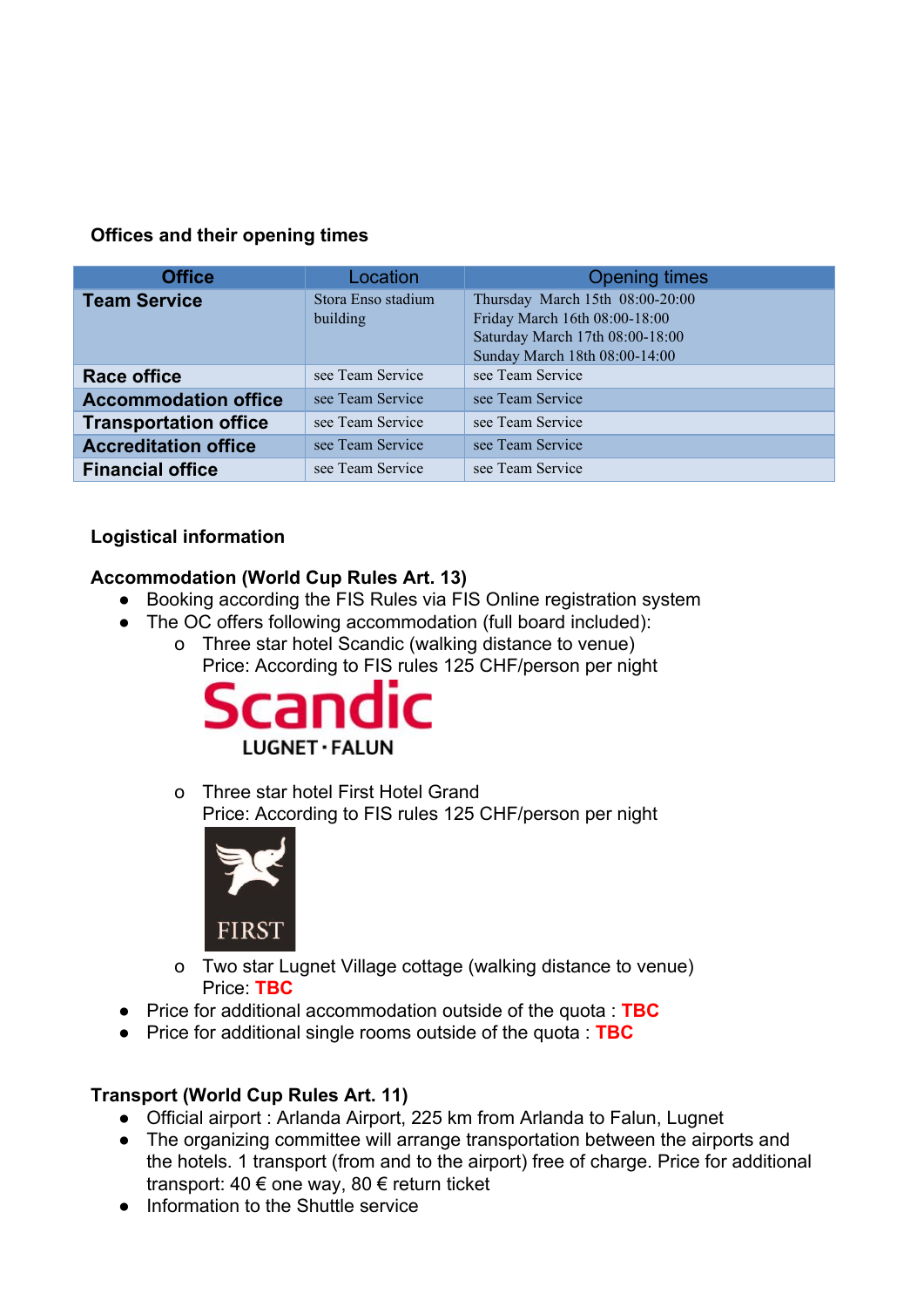### **Offices and their opening times**

| <b>Office</b>                | Location                       | <b>Opening times</b>                                                                                                                 |
|------------------------------|--------------------------------|--------------------------------------------------------------------------------------------------------------------------------------|
| <b>Team Service</b>          | Stora Enso stadium<br>building | Thursday March 15th 08:00-20:00<br>Friday March 16th 08:00-18:00<br>Saturday March 17th 08:00-18:00<br>Sunday March 18th 08:00-14:00 |
| <b>Race office</b>           | see Team Service               | see Team Service                                                                                                                     |
| <b>Accommodation office</b>  | see Team Service               | see Team Service                                                                                                                     |
| <b>Transportation office</b> | see Team Service               | see Team Service                                                                                                                     |
| <b>Accreditation office</b>  | see Team Service               | see Team Service                                                                                                                     |
| <b>Financial office</b>      | see Team Service               | see Team Service                                                                                                                     |

## **Logistical information**

## **Accommodation (World Cup Rules Art. 13)**

- Booking according the FIS Rules via FIS Online registration system
- The OC offers following accommodation (full board included): o Three star hotel Scandic (walking distance to venue)
	- Price: According to FIS rules 125 CHF/person per night



o Three star hotel First Hotel Grand Price: According to FIS rules 125 CHF/person per night



- o Two star Lugnet Village cottage (walking distance to venue) Price: **TBC**
- Price for additional accommodation outside of the quota : **TBC**
- Price for additional single rooms outside of the quota : **TBC**

## **Transport (World Cup Rules Art. 11)**

- Official airport : Arlanda Airport, 225 km from Arlanda to Falun, Lugnet
- The organizing committee will arrange transportation between the airports and the hotels. 1 transport (from and to the airport) free of charge. Price for additional transport: 40 € one way, 80 € return ticket
- Information to the Shuttle service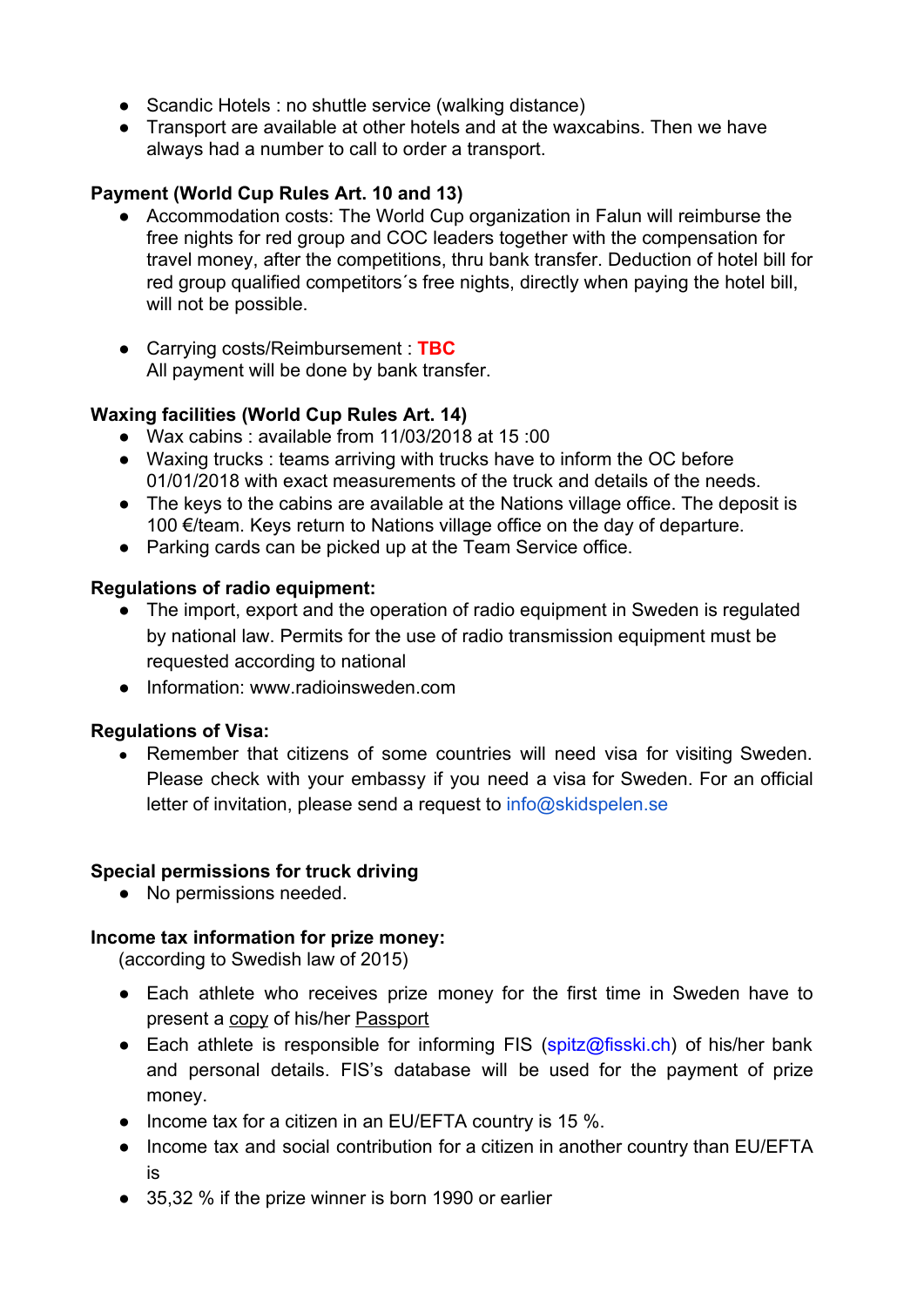- Scandic Hotels : no shuttle service (walking distance)
- Transport are available at other hotels and at the waxcabins. Then we have always had a number to call to order a transport.

## **Payment (World Cup Rules Art. 10 and 13)**

- Accommodation costs: The World Cup organization in Falun will reimburse the free nights for red group and COC leaders together with the compensation for travel money, after the competitions, thru bank transfer. Deduction of hotel bill for red group qualified competitors´s free nights, directly when paying the hotel bill, will not be possible.
- Carrying costs/Reimbursement : **TBC** All payment will be done by bank transfer.

### **Waxing facilities (World Cup Rules Art. 14)**

- Wax cabins : available from 11/03/2018 at 15 :00
- Waxing trucks : teams arriving with trucks have to inform the OC before 01/01/2018 with exact measurements of the truck and details of the needs.
- The keys to the cabins are available at the Nations village office. The deposit is 100 €/team. Keys return to Nations village office on the day of departure.
- Parking cards can be picked up at the Team Service office.

### **Regulations of radio equipment:**

- The import, export and the operation of radio equipment in Sweden is regulated by national law. Permits for the use of radio transmission equipment must be requested according to national
- Information: www.radioinsweden.com

### **Regulations of Visa:**

• Remember that citizens of some countries will need visa for visiting Sweden. Please check with your embassy if you need a visa for Sweden. For an official letter of invitation, please send a request to info@skidspelen.se

### **Special permissions for truck driving**

• No permissions needed.

### **Income tax information for prize money:**

(according to Swedish law of 2015)

- Each athlete who receives prize money for the first time in Sweden have to present a copy of his/her Passport
- Each athlete is responsible for informing FIS (spitz@fisski.ch) of his/her bank and personal details. FIS's database will be used for the payment of prize money.
- Income tax for a citizen in an EU/EFTA country is 15 %.
- Income tax and social contribution for a citizen in another country than EU/EFTA is
- 35,32 % if the prize winner is born 1990 or earlier